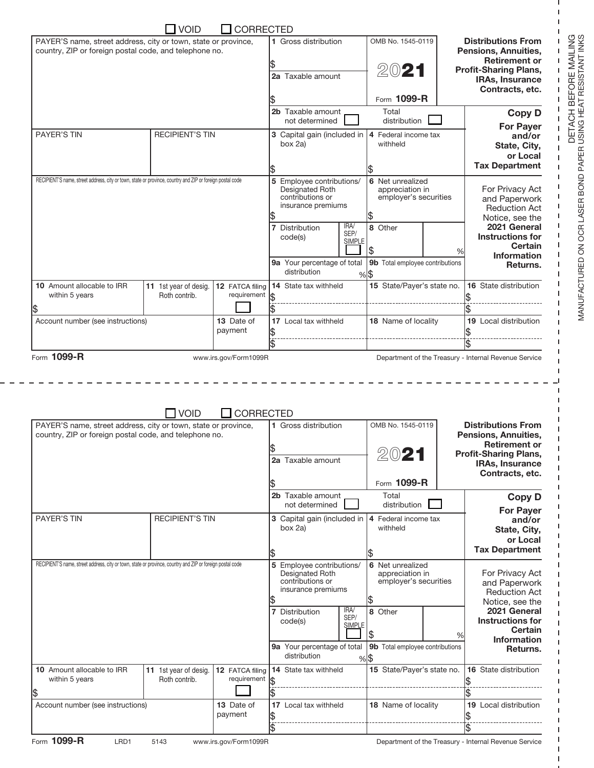|                                                                                                                          | <b>VOID</b>                            | <b>CORRECTED</b>               |                                             |                       |                                          |                       |                                                                                                                                                                                                                                                                                                  |
|--------------------------------------------------------------------------------------------------------------------------|----------------------------------------|--------------------------------|---------------------------------------------|-----------------------|------------------------------------------|-----------------------|--------------------------------------------------------------------------------------------------------------------------------------------------------------------------------------------------------------------------------------------------------------------------------------------------|
| PAYER'S name, street address, city or town, state or province,<br>country, ZIP or foreign postal code, and telephone no. |                                        |                                | 1 Gross distribution                        |                       | OMB No. 1545-0119                        |                       | <b>Distributions From</b><br>Pensions, Annuities,                                                                                                                                                                                                                                                |
|                                                                                                                          |                                        |                                |                                             |                       |                                          |                       | <b>Retirement or</b>                                                                                                                                                                                                                                                                             |
|                                                                                                                          |                                        |                                | 2a Taxable amount                           |                       | 2021                                     |                       | <b>Profit-Sharing Plans,</b><br><b>IRAs, Insurance</b>                                                                                                                                                                                                                                           |
|                                                                                                                          |                                        |                                |                                             |                       |                                          |                       | Contracts, etc.                                                                                                                                                                                                                                                                                  |
|                                                                                                                          |                                        |                                |                                             |                       | Form 1099-R                              |                       |                                                                                                                                                                                                                                                                                                  |
|                                                                                                                          |                                        |                                | 2b Taxable amount<br>not determined         |                       | Total<br>distribution                    |                       | <b>Copy D</b>                                                                                                                                                                                                                                                                                    |
| <b>PAYER'S TIN</b><br><b>RECIPIENT'S TIN</b>                                                                             |                                        |                                | 3 Capital gain (included in                 |                       | 4 Federal income tax                     |                       | <b>For Payer</b><br>and/or                                                                                                                                                                                                                                                                       |
|                                                                                                                          |                                        |                                | box 2a)                                     | withheld              |                                          | State, City,          |                                                                                                                                                                                                                                                                                                  |
|                                                                                                                          |                                        |                                |                                             |                       |                                          |                       | or Local<br><b>Tax Department</b>                                                                                                                                                                                                                                                                |
| RECIPIENT'S name, street address, city or town, state or province, country and ZIP or foreign postal code                |                                        |                                | 5 Employee contributions/                   |                       | 6 Net unrealized                         |                       |                                                                                                                                                                                                                                                                                                  |
|                                                                                                                          |                                        |                                | Designated Roth                             |                       | appreciation in                          |                       | For Privacy Act                                                                                                                                                                                                                                                                                  |
|                                                                                                                          |                                        |                                | contributions or<br>insurance premiums      |                       | employer's securities                    |                       | and Paperwork<br><b>Reduction Act</b>                                                                                                                                                                                                                                                            |
|                                                                                                                          |                                        |                                |                                             |                       |                                          |                       | Notice, see the                                                                                                                                                                                                                                                                                  |
|                                                                                                                          |                                        |                                | 7 Distribution<br>code(s)                   | IRA/<br>SEP/          | 8 Other                                  |                       | 2021 General<br><b>Instructions for</b>                                                                                                                                                                                                                                                          |
|                                                                                                                          |                                        |                                |                                             | <b>SIMPLE</b>         | \$                                       | %                     | Certain                                                                                                                                                                                                                                                                                          |
|                                                                                                                          |                                        |                                | 9a Your percentage of total                 |                       | 9b Total employee contributions          |                       | <b>Information</b><br>Returns.                                                                                                                                                                                                                                                                   |
|                                                                                                                          |                                        |                                | distribution                                |                       | $%$ \$                                   |                       |                                                                                                                                                                                                                                                                                                  |
| 10 Amount allocable to IRR<br>within 5 years                                                                             | 11 1st year of desig.<br>Roth contrib. | 12 FATCA filing<br>requirement | 14 State tax withheld                       |                       | 15 State/Payer's state no.               |                       | 16 State distribution                                                                                                                                                                                                                                                                            |
| \$                                                                                                                       |                                        |                                |                                             |                       |                                          |                       |                                                                                                                                                                                                                                                                                                  |
| 13 Date of<br>Account number (see instructions)                                                                          |                                        |                                | 17 Local tax withheld                       |                       | 18 Name of locality                      | 19 Local distribution |                                                                                                                                                                                                                                                                                                  |
| payment                                                                                                                  |                                        |                                |                                             |                       |                                          |                       |                                                                                                                                                                                                                                                                                                  |
|                                                                                                                          |                                        |                                |                                             |                       |                                          |                       |                                                                                                                                                                                                                                                                                                  |
| Form 1099-R                                                                                                              |                                        | www.irs.gov/Form1099R          |                                             |                       |                                          |                       | Department of the Treasury - Internal Revenue Service                                                                                                                                                                                                                                            |
|                                                                                                                          | <b>VOID</b>                            | <b>CORRECTED</b>               |                                             |                       |                                          |                       |                                                                                                                                                                                                                                                                                                  |
| PAYER'S name, street address, city or town, state or province,<br>country, ZIP or foreign postal code, and telephone no. |                                        |                                | 1 Gross distribution                        |                       | OMB No. 1545-0119                        |                       |                                                                                                                                                                                                                                                                                                  |
|                                                                                                                          |                                        |                                |                                             |                       |                                          |                       |                                                                                                                                                                                                                                                                                                  |
|                                                                                                                          |                                        |                                | 2a Taxable amount                           |                       | 4VL I                                    |                       | <b>Distributions From</b><br>Pensions, Annuities,<br><b>Retirement or</b><br><b>Profit-Sharing Plans,</b><br><b>IRAs, Insurance</b>                                                                                                                                                              |
|                                                                                                                          |                                        |                                |                                             |                       |                                          |                       | Contracts, etc.                                                                                                                                                                                                                                                                                  |
|                                                                                                                          |                                        |                                | 2b Taxable amount                           |                       | Form 1099-R<br>Total                     |                       |                                                                                                                                                                                                                                                                                                  |
|                                                                                                                          |                                        |                                | not determined                              |                       | distribution                             |                       |                                                                                                                                                                                                                                                                                                  |
| <b>PAYER'S TIN</b>                                                                                                       | <b>RECIPIENT'S TIN</b>                 |                                | 3 Capital gain (included in                 |                       | 4 Federal income tax                     |                       |                                                                                                                                                                                                                                                                                                  |
|                                                                                                                          |                                        |                                | box 2a)                                     |                       | withheld                                 |                       |                                                                                                                                                                                                                                                                                                  |
|                                                                                                                          |                                        |                                |                                             |                       |                                          |                       |                                                                                                                                                                                                                                                                                                  |
| RECIPIENT'S name, street address, city or town, state or province, country and ZIP or foreign postal code                |                                        |                                | 5 Employee contributions/                   |                       | 6 Net unrealized                         |                       |                                                                                                                                                                                                                                                                                                  |
|                                                                                                                          |                                        |                                | Designated Roth<br>contributions or         |                       | appreciation in<br>employer's securities |                       |                                                                                                                                                                                                                                                                                                  |
|                                                                                                                          |                                        |                                | insurance premiums                          |                       |                                          |                       |                                                                                                                                                                                                                                                                                                  |
|                                                                                                                          |                                        |                                | 7 Distribution                              | IRA/                  | \$<br>8 Other                            |                       |                                                                                                                                                                                                                                                                                                  |
|                                                                                                                          |                                        |                                | code(s)                                     | SEP/<br><b>SIMPLE</b> |                                          |                       |                                                                                                                                                                                                                                                                                                  |
|                                                                                                                          |                                        |                                |                                             |                       | \$                                       | %                     |                                                                                                                                                                                                                                                                                                  |
|                                                                                                                          |                                        |                                | 9a Your percentage of total<br>distribution |                       | 9b Total employee contributions          |                       |                                                                                                                                                                                                                                                                                                  |
| 10 Amount allocable to IRR                                                                                               | 11 1st year of desig.                  | 12 FATCA filing                | 14 State tax withheld                       |                       | $%$ \$<br>15 State/Payer's state no.     |                       |                                                                                                                                                                                                                                                                                                  |
| within 5 years                                                                                                           | Roth contrib.                          | requirement                    |                                             |                       |                                          |                       |                                                                                                                                                                                                                                                                                                  |
| \$                                                                                                                       |                                        |                                |                                             |                       |                                          |                       | <b>Copy D</b><br><b>For Payer</b><br>and/or<br>State, City,<br>or Local<br><b>Tax Department</b><br>For Privacy Act<br>and Paperwork<br><b>Reduction Act</b><br>Notice, see the<br>2021 General<br><b>Instructions for</b><br>Certain<br><b>Information</b><br>Returns.<br>16 State distribution |
| Account number (see instructions)                                                                                        |                                        | 13 Date of<br>payment          | 17 Local tax withheld<br>\$                 |                       | 18 Name of locality                      |                       | 19 Local distribution                                                                                                                                                                                                                                                                            |

 $\sim$   $-$ 

MANUFACTURED ON OCR LASER BOND PAPER USING HEAT RESISTANT INKS DETACH BEFORE MAILING MANUFACTURED ON OCR LASER BOND PAPER USING HEAT RESISTANT INKS

H  $\blacksquare$ 1

I  $\mathbf I$ 

I.

 $\mathbf{I}$ 

 $\mathsf I$  $\bar{\Gamma}$  $\bar{\mathbf{I}}$  $\mathbf{I}$  $\mathbf I$  $\mathbf{I}$  $\mathbf{I}$  $\mathbf{I}$  $\mathbf{I}$ I.  $\mathsf I$  $\overline{1}$  $\mathbf{I}$ I.  $\mathbf{I}$  $\mathbf{I}$  $\mathbf{I}$  $\mathbf{I}$ J.  $\mathbf{I}$  $\overline{1}$  $\mathbf{I}$  $\mathbf{I}$  $\mathsf I$  $\mathsf I$  $\mathbf{I}$  $\mathbf{I}$ т ı  $\overline{1}$  $\mathbf{I}$ ı